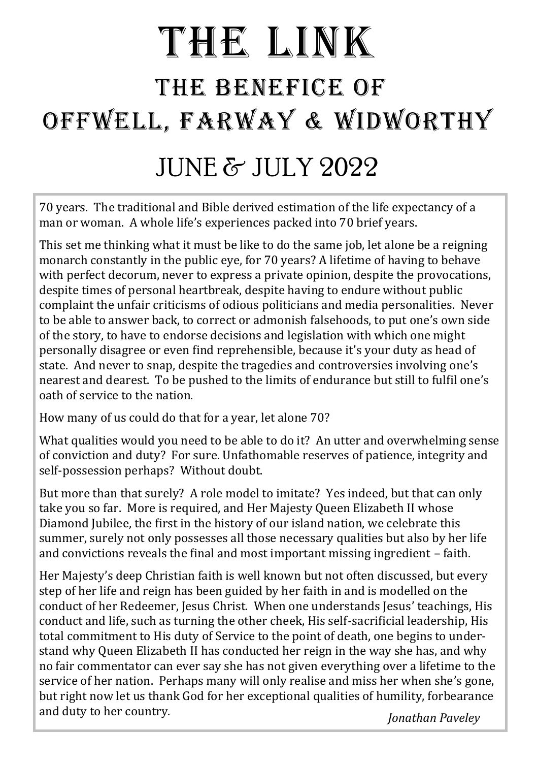# THE LINK THE BENEFICE OF OFFWELL, FARWAY & WIDWORTHY

## JUNE & JULY 2022

70 years. The traditional and Bible derived estimation of the life expectancy of a man or woman. A whole life's experiences packed into 70 brief years.

This set me thinking what it must be like to do the same job, let alone be a reigning monarch constantly in the public eye, for 70 years? A lifetime of having to behave with perfect decorum, never to express a private opinion, despite the provocations, despite times of personal heartbreak, despite having to endure without public complaint the unfair criticisms of odious politicians and media personalities. Never to be able to answer back, to correct or admonish falsehoods, to put one's own side of the story, to have to endorse decisions and legislation with which one might personally disagree or even find reprehensible, because it's your duty as head of state. And never to snap, despite the tragedies and controversies involving one's nearest and dearest. To be pushed to the limits of endurance but still to fulfil one's oath of service to the nation.

How many of us could do that for a year, let alone 70?

What qualities would you need to be able to do it? An utter and overwhelming sense of conviction and duty? For sure. Unfathomable reserves of patience, integrity and self-possession perhaps? Without doubt.

But more than that surely? A role model to imitate? Yes indeed, but that can only take you so far. More is required, and Her Majesty Queen Elizabeth II whose Diamond Jubilee, the first in the history of our island nation, we celebrate this summer, surely not only possesses all those necessary qualities but also by her life and convictions reveals the final and most important missing ingredient – faith.

Her Majesty's deep Christian faith is well known but not often discussed, but every step of her life and reign has been guided by her faith in and is modelled on the conduct of her Redeemer, Jesus Christ. When one understands Jesus' teachings, His conduct and life, such as turning the other cheek, His self-sacrificial leadership, His total commitment to His duty of Service to the point of death, one begins to understand why Queen Elizabeth II has conducted her reign in the way she has, and why no fair commentator can ever say she has not given everything over a lifetime to the service of her nation. Perhaps many will only realise and miss her when she's gone, but right now let us thank God for her exceptional qualities of humility, forbearance and duty to her country. *Jonathan Paveley*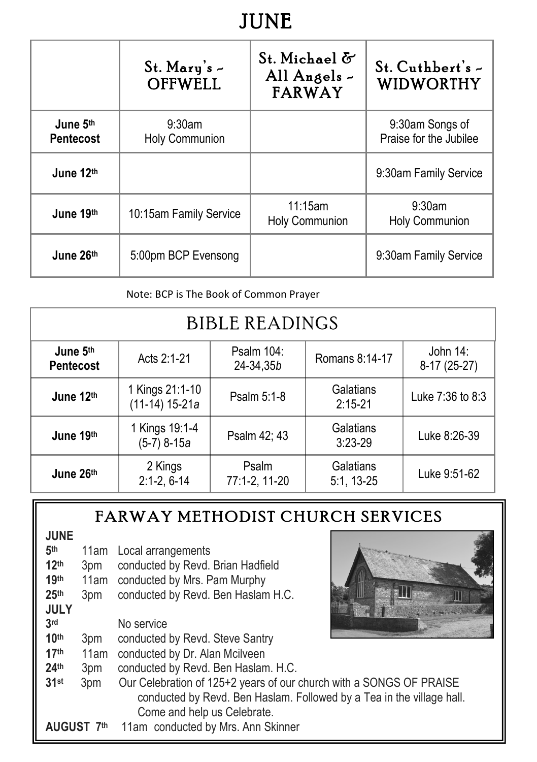## **JUNE**

|                              | $St.$ Mary's $-$<br><b>OFFWELL</b> | St. Michael &<br>All Angels -<br><b>FARWAY</b> | $St.$ Cuthbert's $\sim$<br>WIDWORTHY      |
|------------------------------|------------------------------------|------------------------------------------------|-------------------------------------------|
| June 5th<br><b>Pentecost</b> | $9:30$ am<br><b>Holy Communion</b> |                                                | 9:30am Songs of<br>Praise for the Jubilee |
| June 12th                    |                                    |                                                | 9:30am Family Service                     |
| June 19th                    | 10:15am Family Service             | 11:15am<br><b>Holy Communion</b>               | 9:30am<br><b>Holy Communion</b>           |
| June 26th                    | 5:00pm BCP Evensong                |                                                | 9:30am Family Service                     |

Note: BCP is The Book of Common Prayer

| <b>BIBLE READINGS</b>        |                                     |                         |                         |                          |
|------------------------------|-------------------------------------|-------------------------|-------------------------|--------------------------|
| June 5th<br><b>Pentecost</b> | Acts 2:1-21                         | Psalm 104:<br>24-34,35b | Romans 8:14-17          | John 14:<br>8-17 (25-27) |
| June 12th                    | 1 Kings 21:1-10<br>$(11-14)$ 15-21a | Psalm 5:1-8             | Galatians<br>$2:15-21$  | Luke 7:36 to 8:3         |
| June 19th                    | 1 Kings 19:1-4<br>(5-7) 8-15a       | Psalm 42; 43            | Galatians<br>$3:23-29$  | Luke 8:26-39             |
| June 26th                    | 2 Kings<br>$2:1-2, 6-14$            | Psalm<br>77:1-2, 11-20  | Galatians<br>5:1, 13-25 | Luke 9:51-62             |

#### FARWAY METHODIST CHURCH SERVICES

| <b>JUNE</b><br>5 <sup>th</sup><br>12 <sup>th</sup><br>19th<br>25 <sup>th</sup><br><b>JULY</b><br>3rd | 3pm<br>11am<br>3pm | 11am Local arrangements<br>conducted by Revd. Brian Hadfield<br>conducted by Mrs. Pam Murphy<br>conducted by Revd. Ben Haslam H.C.<br>No service                            |
|------------------------------------------------------------------------------------------------------|--------------------|-----------------------------------------------------------------------------------------------------------------------------------------------------------------------------|
| 10 <sup>th</sup>                                                                                     | 3pm                | conducted by Revd. Steve Santry                                                                                                                                             |
| 17 <sup>th</sup>                                                                                     | 11am               | conducted by Dr. Alan Mcilveen                                                                                                                                              |
| 24 <sup>th</sup>                                                                                     | 3pm                | conducted by Revd. Ben Haslam. H.C.                                                                                                                                         |
| 31st                                                                                                 | 3pm                | Our Celebration of 125+2 years of our church with a SONGS OF PRAISE<br>conducted by Revd. Ben Haslam. Followed by a Tea in the village hall.<br>Come and help us Celebrate. |
|                                                                                                      | AUGUST 7th         | 11am conducted by Mrs. Ann Skinner                                                                                                                                          |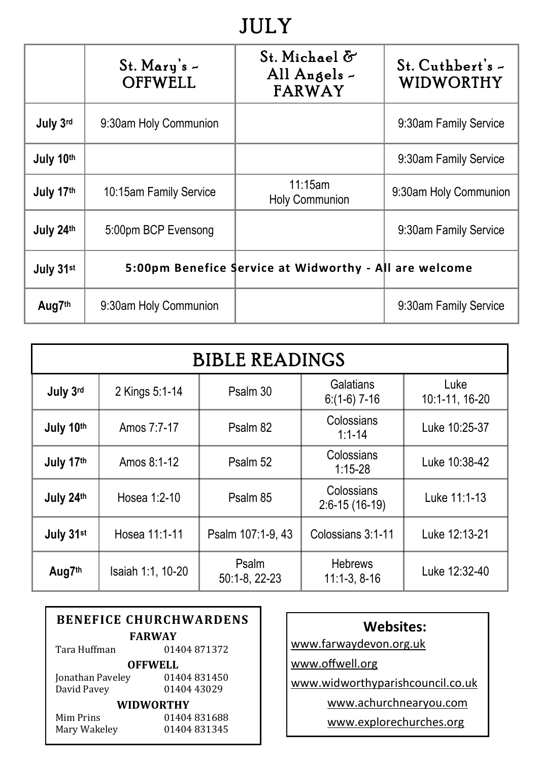## **JULY**

|                    | $St.$ Mary's $-$<br><b>OFFWELL</b>                     | St. Michael &<br>All Angels -<br><b>FARWAY</b> | St. Cuthbert's -<br><b>WIDWORTHY</b> |
|--------------------|--------------------------------------------------------|------------------------------------------------|--------------------------------------|
| July 3rd           | 9:30am Holy Communion                                  |                                                | 9:30am Family Service                |
| July 10th          |                                                        |                                                | 9:30am Family Service                |
| July 17th          | 10:15am Family Service                                 | 11:15am<br><b>Holy Communion</b>               | 9:30am Holy Communion                |
| July 24th          | 5:00pm BCP Evensong                                    |                                                | 9:30am Family Service                |
| July 31st          | 5:00pm Benefice Service at Widworthy - All are welcome |                                                |                                      |
| Aug7 <sup>th</sup> | 9:30am Holy Communion                                  |                                                | 9:30am Family Service                |

| <b>BIBLE READINGS</b> |                   |                        |                                  |                        |
|-----------------------|-------------------|------------------------|----------------------------------|------------------------|
| July 3rd              | 2 Kings 5:1-14    | Psalm 30               | Galatians<br>$6:(1-6)$ 7-16      | Luke<br>10:1-11, 16-20 |
| July 10th             | Amos 7:7-17       | Psalm 82               | Colossians<br>$1:1 - 14$         |                        |
| July 17th             | Amos 8:1-12       | Psalm 52               | Colossians<br>$1:15-28$          | Luke 10:38-42          |
| July 24th             | Hosea 1:2-10      | Psalm 85               | Colossians<br>$2:6-15(16-19)$    | Luke 11:1-13           |
| July 31st             | Hosea 11:1-11     | Psalm 107:1-9, 43      | Colossians 3:1-11                | Luke 12:13-21          |
| Aug7th                | Isaiah 1:1, 10-20 | Psalm<br>50:1-8, 22-23 | <b>Hebrews</b><br>$11:1-3, 8-16$ | Luke 12:32-40          |

| <b>BENEFICE CHURCHWARDENS</b> |               |  |  |
|-------------------------------|---------------|--|--|
|                               | <b>FARWAY</b> |  |  |
| Tara Huffman                  | 01404871372   |  |  |
| OFFWELL                       |               |  |  |
| Jonathan Paveley              | 01404831450   |  |  |
| David Pavey                   | 01404 43029   |  |  |
| WIDWORTHY                     |               |  |  |
| Mim Prins                     | 01404831688   |  |  |
| Mary Wakeley                  | 01404831345   |  |  |

| <b>Websites:</b>       |  |
|------------------------|--|
| www.farwaydevon.org.uk |  |

www.offwell.org

www.widworthyparishcouncil.co.uk

www.achurchnearyou.com

www.explorechurches.org